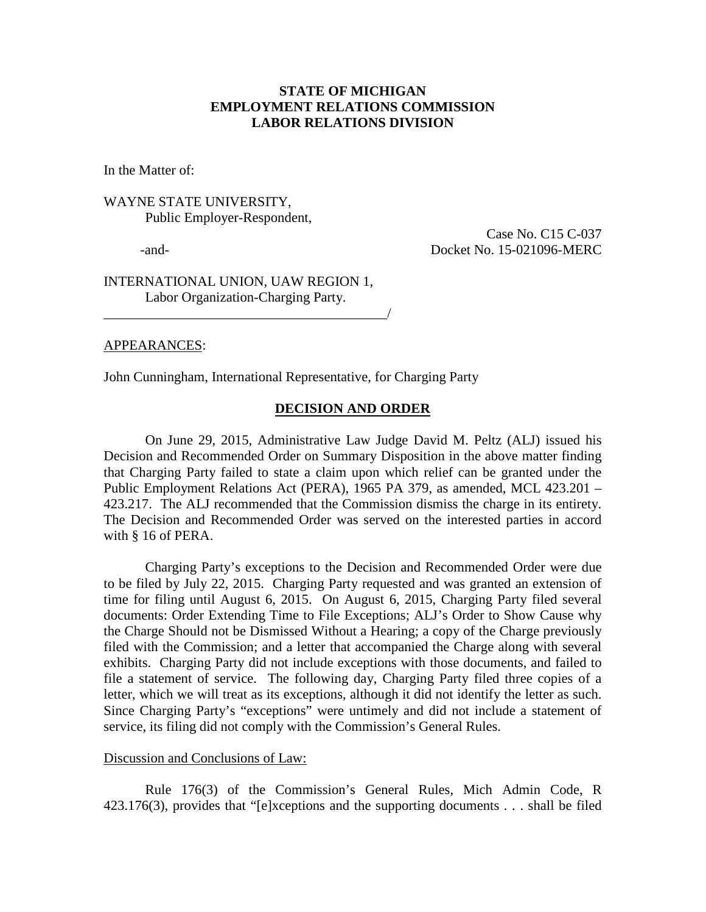# **STATE OF MICHIGAN EMPLOYMENT RELATIONS COMMISSION LABOR RELATIONS DIVISION**

In the Matter of:

# WAYNE STATE UNIVERSITY, Public Employer-Respondent,

Case No. C15 C-037 -and- Docket No. 15-021096-MERC

INTERNATIONAL UNION, UAW REGION 1, Labor Organization-Charging Party.

\_\_\_\_\_\_\_\_\_\_\_\_\_\_\_\_\_\_\_\_\_\_\_\_\_\_\_\_\_\_\_\_\_\_\_\_\_\_\_\_\_/

## APPEARANCES:

John Cunningham, International Representative, for Charging Party

## **DECISION AND ORDER**

On June 29, 2015, Administrative Law Judge David M. Peltz (ALJ) issued his Decision and Recommended Order on Summary Disposition in the above matter finding that Charging Party failed to state a claim upon which relief can be granted under the Public Employment Relations Act (PERA), 1965 PA 379, as amended, MCL 423.201 – 423.217. The ALJ recommended that the Commission dismiss the charge in its entirety. The Decision and Recommended Order was served on the interested parties in accord with § 16 of PERA.

Charging Party's exceptions to the Decision and Recommended Order were due to be filed by July 22, 2015. Charging Party requested and was granted an extension of time for filing until August 6, 2015. On August 6, 2015, Charging Party filed several documents: Order Extending Time to File Exceptions; ALJ's Order to Show Cause why the Charge Should not be Dismissed Without a Hearing; a copy of the Charge previously filed with the Commission; and a letter that accompanied the Charge along with several exhibits. Charging Party did not include exceptions with those documents, and failed to file a statement of service. The following day, Charging Party filed three copies of a letter, which we will treat as its exceptions, although it did not identify the letter as such. Since Charging Party's "exceptions" were untimely and did not include a statement of service, its filing did not comply with the Commission's General Rules.

## Discussion and Conclusions of Law:

Rule 176(3) of the Commission's General Rules, Mich Admin Code, R 423.176(3), provides that "[e]xceptions and the supporting documents . . . shall be filed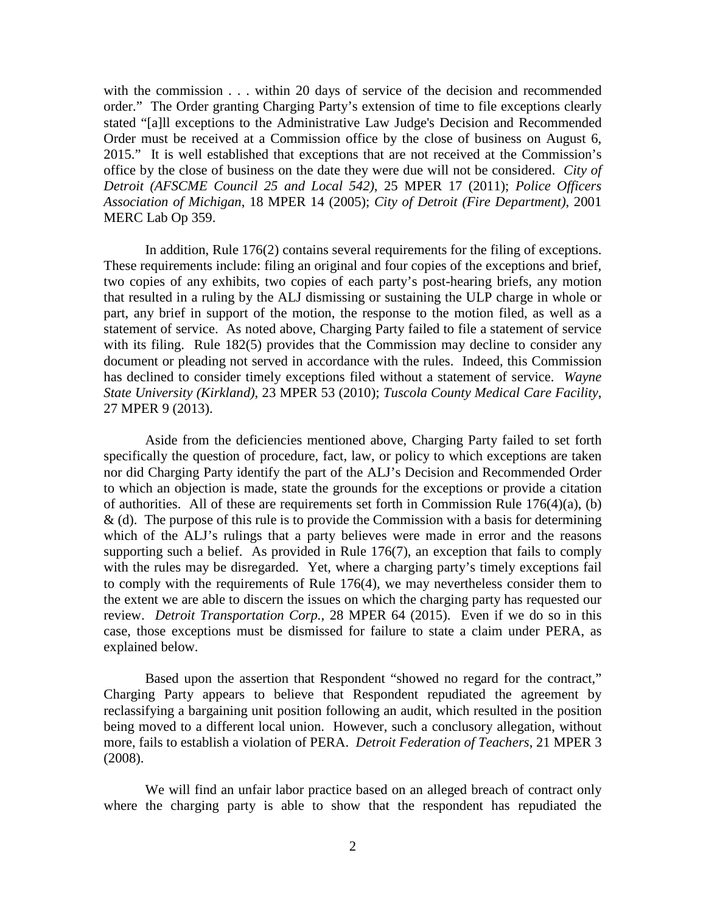with the commission . . . within 20 days of service of the decision and recommended order." The Order granting Charging Party's extension of time to file exceptions clearly stated "[a]ll exceptions to the Administrative Law Judge's Decision and Recommended Order must be received at a Commission office by the close of business on August 6, 2015." It is well established that exceptions that are not received at the Commission's office by the close of business on the date they were due will not be considered. *City of Detroit (AFSCME Council 25 and Local 542)*, 25 MPER 17 (2011); *Police Officers Association of Michigan*, 18 MPER 14 (2005); *City of Detroit (Fire Department)*, 2001 MERC Lab Op 359.

In addition, Rule 176(2) contains several requirements for the filing of exceptions. These requirements include: filing an original and four copies of the exceptions and brief, two copies of any exhibits, two copies of each party's post-hearing briefs, any motion that resulted in a ruling by the ALJ dismissing or sustaining the ULP charge in whole or part, any brief in support of the motion, the response to the motion filed, as well as a statement of service. As noted above, Charging Party failed to file a statement of service with its filing. Rule 182(5) provides that the Commission may decline to consider any document or pleading not served in accordance with the rules. Indeed, this Commission has declined to consider timely exceptions filed without a statement of service. *Wayne State University (Kirkland)*, 23 MPER 53 (2010); *Tuscola County Medical Care Facility*, 27 MPER 9 (2013).

Aside from the deficiencies mentioned above, Charging Party failed to set forth specifically the question of procedure, fact, law, or policy to which exceptions are taken nor did Charging Party identify the part of the ALJ's Decision and Recommended Order to which an objection is made, state the grounds for the exceptions or provide a citation of authorities. All of these are requirements set forth in Commission Rule 176(4)(a), (b)  $\&$  (d). The purpose of this rule is to provide the Commission with a basis for determining which of the ALJ's rulings that a party believes were made in error and the reasons supporting such a belief. As provided in Rule 176(7), an exception that fails to comply with the rules may be disregarded. Yet, where a charging party's timely exceptions fail to comply with the requirements of Rule 176(4), we may nevertheless consider them to the extent we are able to discern the issues on which the charging party has requested our review. *Detroit Transportation Corp.,* 28 MPER 64 (2015). Even if we do so in this case, those exceptions must be dismissed for failure to state a claim under PERA, as explained below.

Based upon the assertion that Respondent "showed no regard for the contract," Charging Party appears to believe that Respondent repudiated the agreement by reclassifying a bargaining unit position following an audit, which resulted in the position being moved to a different local union. However, such a conclusory allegation, without more, fails to establish a violation of PERA. *Detroit Federation of Teachers*, 21 MPER 3 (2008).

We will find an unfair labor practice based on an alleged breach of contract only where the charging party is able to show that the respondent has repudiated the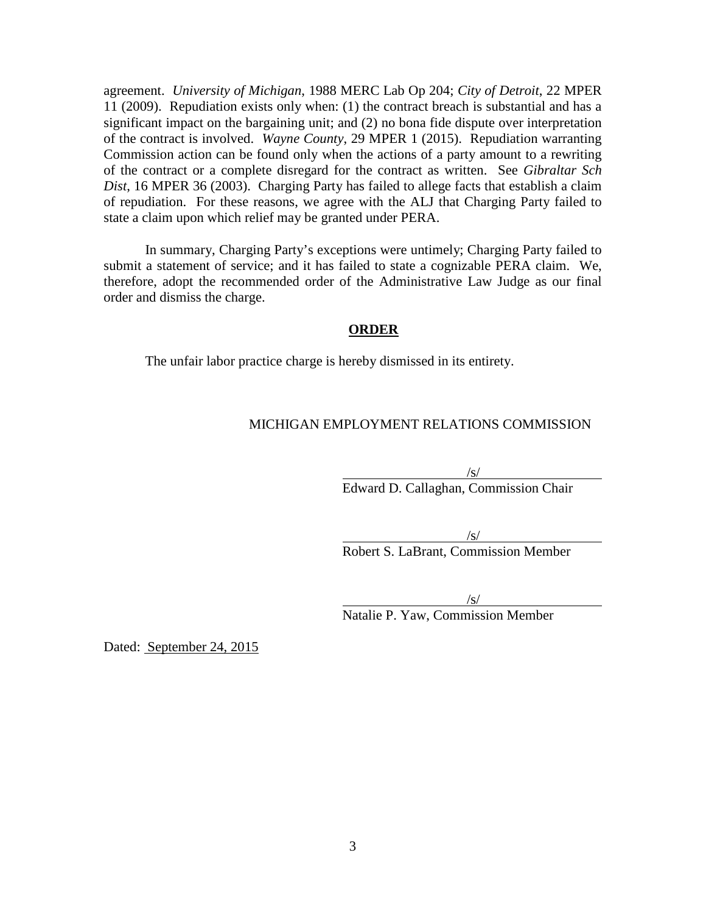agreement. *University of Michigan*, 1988 MERC Lab Op 204; *City of Detroit*, 22 MPER 11 (2009). Repudiation exists only when: (1) the contract breach is substantial and has a significant impact on the bargaining unit; and (2) no bona fide dispute over interpretation of the contract is involved. *Wayne County*, 29 MPER 1 (2015). Repudiation warranting Commission action can be found only when the actions of a party amount to a rewriting of the contract or a complete disregard for the contract as written. See *Gibraltar Sch Dist*, 16 MPER 36 (2003). Charging Party has failed to allege facts that establish a claim of repudiation. For these reasons, we agree with the ALJ that Charging Party failed to state a claim upon which relief may be granted under PERA.

In summary, Charging Party's exceptions were untimely; Charging Party failed to submit a statement of service; and it has failed to state a cognizable PERA claim. We, therefore, adopt the recommended order of the Administrative Law Judge as our final order and dismiss the charge.

## **ORDER**

The unfair labor practice charge is hereby dismissed in its entirety.

# MICHIGAN EMPLOYMENT RELATIONS COMMISSION

/s/ Edward D. Callaghan, Commission Chair

/s/ Robert S. LaBrant, Commission Member

 $\sqrt{s/2}$ 

Natalie P. Yaw, Commission Member

Dated: September 24, 2015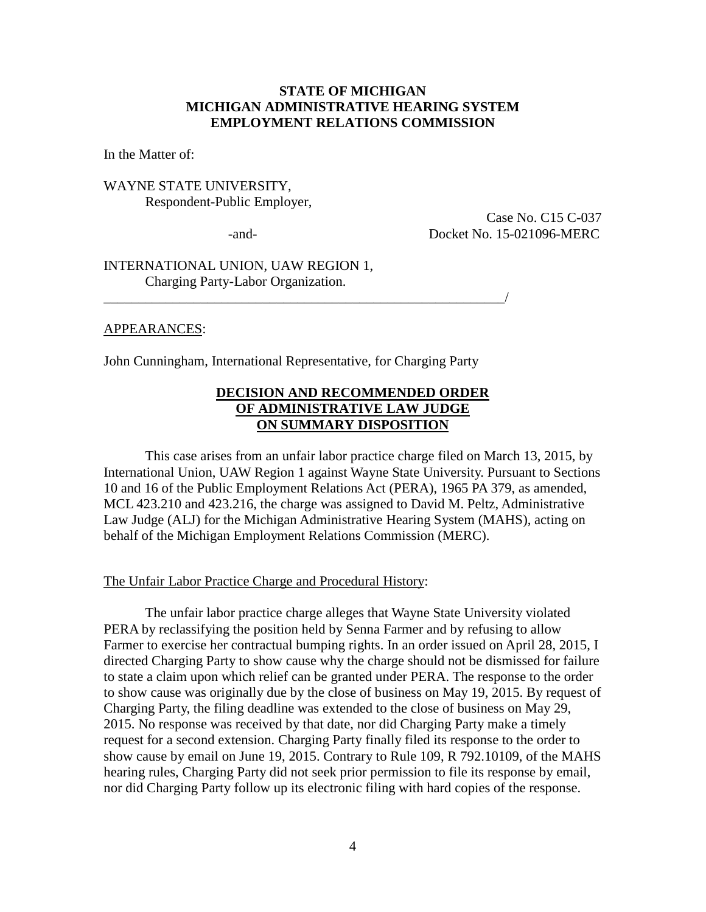## **STATE OF MICHIGAN MICHIGAN ADMINISTRATIVE HEARING SYSTEM EMPLOYMENT RELATIONS COMMISSION**

In the Matter of:

WAYNE STATE UNIVERSITY, Respondent-Public Employer,

 Case No. C15 C-037 -and- Docket No. 15-021096-MERC

INTERNATIONAL UNION, UAW REGION 1, Charging Party-Labor Organization.

#### APPEARANCES:

John Cunningham, International Representative, for Charging Party

\_\_\_\_\_\_\_\_\_\_\_\_\_\_\_\_\_\_\_\_\_\_\_\_\_\_\_\_\_\_\_\_\_\_\_\_\_\_\_\_\_\_\_\_\_\_\_\_\_\_\_\_\_\_\_\_\_\_/

# **DECISION AND RECOMMENDED ORDER OF ADMINISTRATIVE LAW JUDGE ON SUMMARY DISPOSITION**

This case arises from an unfair labor practice charge filed on March 13, 2015, by International Union, UAW Region 1 against Wayne State University. Pursuant to Sections 10 and 16 of the Public Employment Relations Act (PERA), 1965 PA 379, as amended, MCL 423.210 and 423.216, the charge was assigned to David M. Peltz, Administrative Law Judge (ALJ) for the Michigan Administrative Hearing System (MAHS), acting on behalf of the Michigan Employment Relations Commission (MERC).

The Unfair Labor Practice Charge and Procedural History:

The unfair labor practice charge alleges that Wayne State University violated PERA by reclassifying the position held by Senna Farmer and by refusing to allow Farmer to exercise her contractual bumping rights. In an order issued on April 28, 2015, I directed Charging Party to show cause why the charge should not be dismissed for failure to state a claim upon which relief can be granted under PERA. The response to the order to show cause was originally due by the close of business on May 19, 2015. By request of Charging Party, the filing deadline was extended to the close of business on May 29, 2015. No response was received by that date, nor did Charging Party make a timely request for a second extension. Charging Party finally filed its response to the order to show cause by email on June 19, 2015. Contrary to Rule 109, R 792.10109, of the MAHS hearing rules, Charging Party did not seek prior permission to file its response by email, nor did Charging Party follow up its electronic filing with hard copies of the response.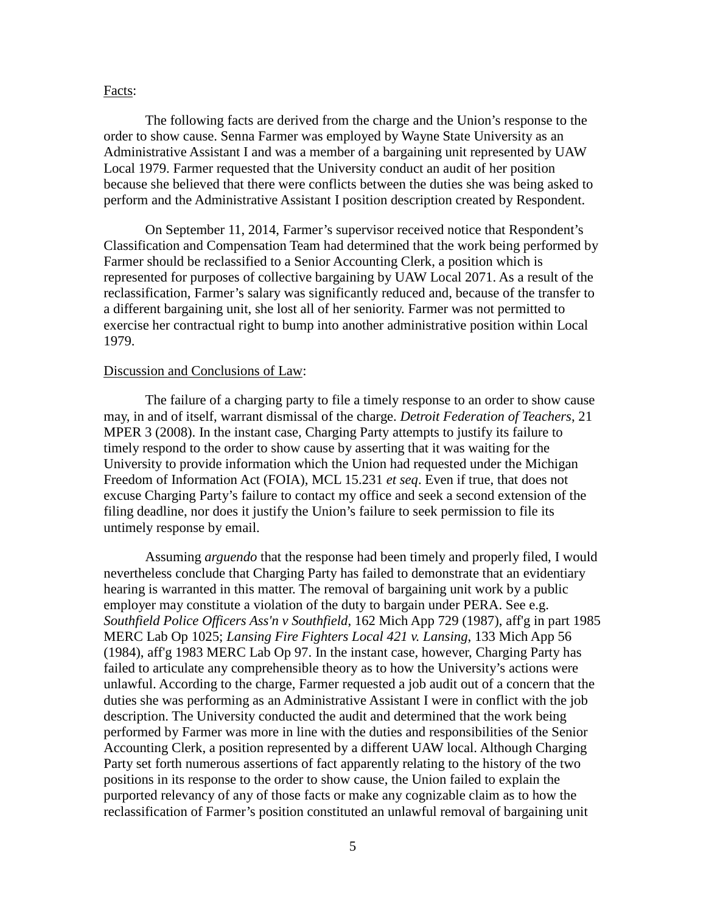#### Facts:

The following facts are derived from the charge and the Union's response to the order to show cause. Senna Farmer was employed by Wayne State University as an Administrative Assistant I and was a member of a bargaining unit represented by UAW Local 1979. Farmer requested that the University conduct an audit of her position because she believed that there were conflicts between the duties she was being asked to perform and the Administrative Assistant I position description created by Respondent.

On September 11, 2014, Farmer's supervisor received notice that Respondent's Classification and Compensation Team had determined that the work being performed by Farmer should be reclassified to a Senior Accounting Clerk, a position which is represented for purposes of collective bargaining by UAW Local 2071. As a result of the reclassification, Farmer's salary was significantly reduced and, because of the transfer to a different bargaining unit, she lost all of her seniority. Farmer was not permitted to exercise her contractual right to bump into another administrative position within Local 1979.

#### Discussion and Conclusions of Law:

The failure of a charging party to file a timely response to an order to show cause may, in and of itself, warrant dismissal of the charge. *Detroit Federation of Teachers*, 21 MPER 3 (2008). In the instant case, Charging Party attempts to justify its failure to timely respond to the order to show cause by asserting that it was waiting for the University to provide information which the Union had requested under the Michigan Freedom of Information Act (FOIA), MCL 15.231 *et seq*. Even if true, that does not excuse Charging Party's failure to contact my office and seek a second extension of the filing deadline, nor does it justify the Union's failure to seek permission to file its untimely response by email.

Assuming *arguendo* that the response had been timely and properly filed, I would nevertheless conclude that Charging Party has failed to demonstrate that an evidentiary hearing is warranted in this matter. The removal of bargaining unit work by a public employer may constitute a violation of the duty to bargain under PERA. See e.g. *Southfield Police Officers Ass'n v Southfield*, 162 Mich App 729 (1987), aff'g in part 1985 MERC Lab Op 1025; *Lansing Fire Fighters Local 421 v. Lansing*, 133 Mich App 56 (1984), aff'g 1983 MERC Lab Op 97. In the instant case, however, Charging Party has failed to articulate any comprehensible theory as to how the University's actions were unlawful. According to the charge, Farmer requested a job audit out of a concern that the duties she was performing as an Administrative Assistant I were in conflict with the job description. The University conducted the audit and determined that the work being performed by Farmer was more in line with the duties and responsibilities of the Senior Accounting Clerk, a position represented by a different UAW local. Although Charging Party set forth numerous assertions of fact apparently relating to the history of the two positions in its response to the order to show cause, the Union failed to explain the purported relevancy of any of those facts or make any cognizable claim as to how the reclassification of Farmer's position constituted an unlawful removal of bargaining unit